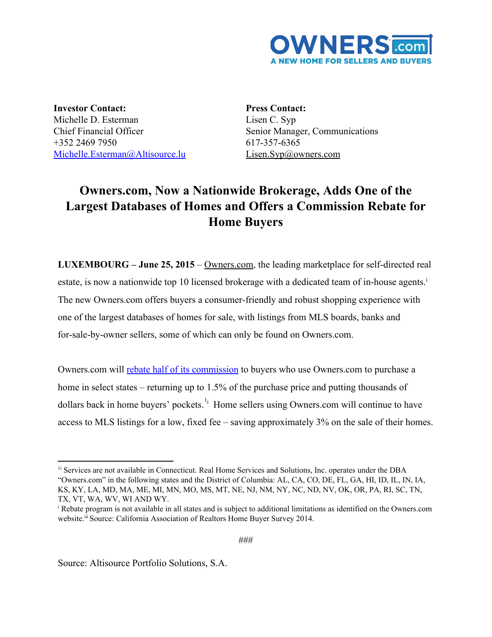

**Investor Contact:** Michelle D. Esterman Chief Financial Officer +352 2469 7950 [Michelle.Esterman@Altisource.lu](mailto:Michelle.Esterman@Altisource.lu)

**Press Contact:** Lisen C. Syp Senior Manager, Communications 617-357-6365 [Lisen.Syp@owners.com](mailto:Lisen.Syp@owners.com)

## **Owners.com, Now a Nationwide Brokerage, Adds One of the Largest Databases of Homes and Offers a Commission Rebate for Home Buyers**

**LUXEMBOURG** – **June 25, 2015** – [Owners.com,](http://www.owners.com/?utm_campaign=OWNERS_General%7CRelaunch_PR&utm_source=PR&utm_medium=PR&utm_content=body_link) the leading marketplace for self-directed real estate, is now a nationwide top 10 licensed brokerage with a dedicated team of in-house agents.<sup>i</sup> The new Owners.com offers buyers a consumer-friendly and robust shopping experience with one of the largest databases of homes for sale, with listings from MLS boards, banks and for-sale-by-owner sellers, some of which can only be found on Owners.com.

Owners.com will rebate half of its [commission](http://www.owners.com/rebate?utm_campaign=OWNERS_General%7CRelaunch_PR&utm_source=PR&utm_medium=PR&utm_content=rebate_link) to buyers who use Owners.com to purchase a home in select states – returning up to 1.5% of the purchase price and putting thousands of dollars back in home buyers' pockets.<sup>1<sub>i</sub></sup> Home sellers using Owners.com will continue to have access to MLS listings for a low, fixed fee – saving approximately 3% on the sale of their homes.

<sup>1</sup>i Services are not available in Connecticut. Real Home Services and Solutions, Inc. operates under the DBA "Owners.com" in the following states and the District of Columbia: AL, CA, CO, DE, FL, GA, HI, ID, IL, IN, IA, KS, KY, LA, MD, MA, ME, MI, MN, MO, MS, MT, NE, NJ, NM, NY, NC, ND, NV, OK, OR, PA, RI, SC, TN, TX, VT, WA, WV, WI AND WY.

<sup>i</sup> Rebate program is not available in all states and is subject to additional limitations as identified on the Owners.com website.<sup>iii</sup> Source: California Association of Realtors Home Buyer Survey 2014.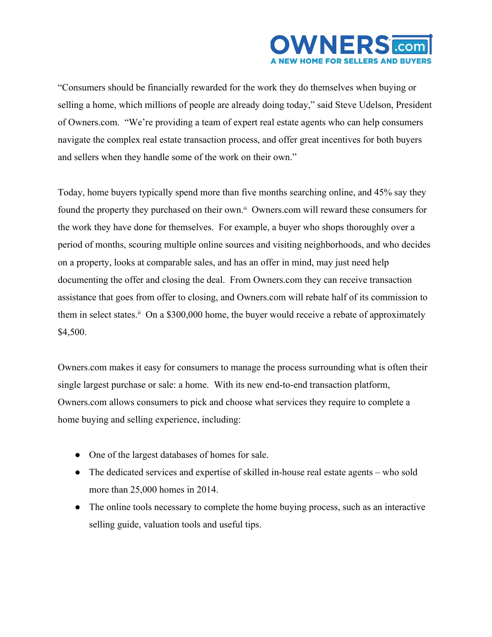

"Consumers should be financially rewarded for the work they do themselves when buying or selling a home, which millions of people are already doing today," said Steve Udelson, President of Owners.com. "We're providing a team of expert real estate agents who can help consumers navigate the complex real estate transaction process, and offer great incentives for both buyers and sellers when they handle some of the work on their own."

Today, home buyers typically spend more than five months searching online, and 45% say they found the property they purchased on their own.<sup>iii</sup> Owners.com will reward these consumers for the work they have done for themselves. For example, a buyer who shops thoroughly over a period of months, scouring multiple online sources and visiting neighborhoods, and who decides on a property, looks at comparable sales, and has an offer in mind, may just need help documenting the offer and closing the deal. From Owners.com they can receive transaction assistance that goes from offer to closing, and Owners.com will rebate half of its commission to them in select states.<sup>ii</sup> On a \$300,000 home, the buyer would receive a rebate of approximately \$4,500.

Owners.com makes it easy for consumers to manage the process surrounding what is often their single largest purchase or sale: a home. With its new end-to-end transaction platform, Owners.com allows consumers to pick and choose what services they require to complete a home buying and selling experience, including:

- One of the largest databases of homes for sale.
- The dedicated services and expertise of skilled in-house real estate agents who sold more than 25,000 homes in 2014.
- The online tools necessary to complete the home buying process, such as an interactive selling guide, valuation tools and useful tips.